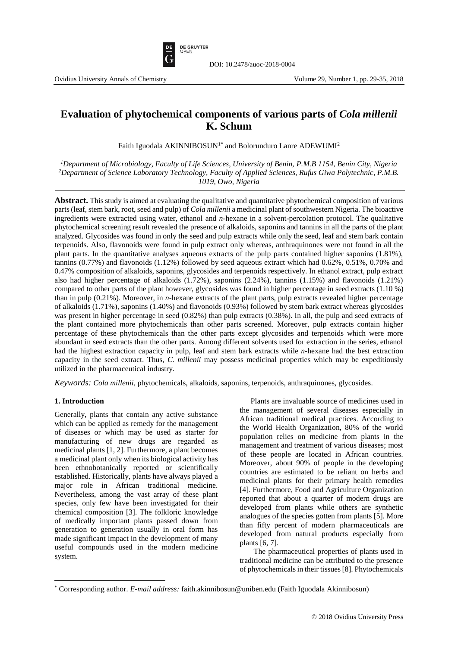

# **Evaluation of phytochemical components of various parts of** *Cola millenii*  **K. Schum**

Faith Iguodala AKINNIBOSUN<sup>1\*</sup> and Bolorunduro Lanre ADEWUMI<sup>2</sup>

*<sup>1</sup>Department of Microbiology, Faculty of Life Sciences, University of Benin, P.M.B 1154, Benin City, Nigeria <sup>2</sup>Department of Science Laboratory Technology, Faculty of Applied Sciences, Rufus Giwa Polytechnic, P.M.B. 1019, Owo, Nigeria*

**Abstract.** This study is aimed at evaluating the qualitative and quantitative phytochemical composition of various parts (leaf, stem bark, root, seed and pulp) of *Cola millenii* a medicinal plant of southwestern Nigeria. The bioactive ingredients were extracted using water, ethanol and *n*-hexane in a solvent-percolation protocol. The qualitative phytochemical screening result revealed the presence of alkaloids, saponins and tannins in all the parts of the plant analyzed. Glycosides was found in only the seed and pulp extracts while only the seed, leaf and stem bark contain terpenoids. Also, flavonoids were found in pulp extract only whereas, anthraquinones were not found in all the plant parts. In the quantitative analyses aqueous extracts of the pulp parts contained higher saponins (1.81%), tannins (0.77%) and flavonoids (1.12%) followed by seed aqueous extract which had 0.62%, 0.51%, 0.70% and 0.47% composition of alkaloids, saponins, glycosides and terpenoids respectively. In ethanol extract, pulp extract also had higher percentage of alkaloids (1.72%), saponins (2.24%), tannins (1.15%) and flavonoids (1.21%) compared to other parts of the plant however, glycosides was found in higher percentage in seed extracts (1.10 %) than in pulp (0.21%). Moreover, in *n*-hexane extracts of the plant parts, pulp extracts revealed higher percentage of alkaloids (1.71%), saponins (1.40%) and flavonoids (0.93%) followed by stem bark extract whereas glycosides was present in higher percentage in seed (0.82%) than pulp extracts (0.38%). In all, the pulp and seed extracts of the plant contained more phytochemicals than other parts screened. Moreover, pulp extracts contain higher percentage of these phytochemicals than the other parts except glycosides and terpenoids which were more abundant in seed extracts than the other parts. Among different solvents used for extraction in the series, ethanol had the highest extraction capacity in pulp, leaf and stem bark extracts while *n*-hexane had the best extraction capacity in the seed extract. Thus, *C. millenii* may possess medicinal properties which may be expeditiously utilized in the pharmaceutical industry.

*Keywords: Cola millenii,* phytochemicals, alkaloids, saponins, terpenoids, anthraquinones, glycosides.

## **1. Introduction**

 $\overline{\phantom{a}}$ 

Generally, plants that contain any active substance which can be applied as remedy for the management of diseases or which may be used as starter for manufacturing of new drugs are regarded as medicinal plants [1, 2]. Furthermore, a plant becomes a medicinal plant only when its biological activity has been ethnobotanically reported or scientifically established. Historically, plants have always played a major role in African traditional medicine. Nevertheless, among the vast array of these plant species, only few have been investigated for their chemical composition [3]. The folkloric knowledge of medically important plants passed down from generation to generation usually in oral form has made significant impact in the development of many useful compounds used in the modern medicine system.

Plants are invaluable source of medicines used in the management of several diseases especially in African traditional medical practices. According to the World Health Organization, 80% of the world population relies on medicine from plants in the management and treatment of various diseases; most of these people are located in African countries. Moreover, about 90% of people in the developing countries are estimated to be reliant on herbs and medicinal plants for their primary health remedies [4]. Furthermore, Food and Agriculture Organization reported that about a quarter of modern drugs are developed from plants while others are synthetic analogues of the species gotten from plants [5]. More than fifty percent of modern pharmaceuticals are developed from natural products especially from plants [6, 7].

The pharmaceutical properties of plants used in traditional medicine can be attributed to the presence of phytochemicals in their tissues [8]. Phytochemicals

<sup>\*</sup> Corresponding author. *E-mail address:* faith.akinnibosun@uniben.edu (Faith Iguodala Akinnibosun)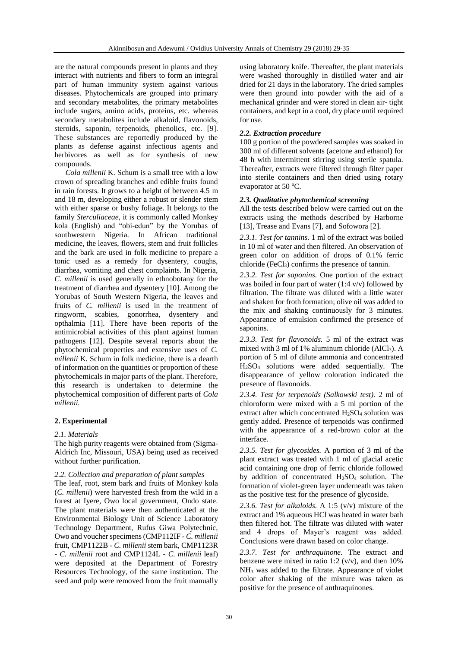are the natural compounds present in plants and they interact with nutrients and fibers to form an integral part of human immunity system against various diseases. Phytochemicals are grouped into primary and secondary metabolites, the primary metabolites include sugars, amino acids, proteins, etc. whereas secondary metabolites include alkaloid, flavonoids, steroids, saponin, terpenoids, phenolics, etc. [9]. These substances are reportedly produced by the plants as defense against infectious agents and herbivores as well as for synthesis of new compounds.

*Cola millenii* K. Schum is a small tree with a low crown of spreading branches and edible fruits found in rain forests. It grows to a height of between 4.5 m and 18 m, developing either a robust or slender stem with either sparse or bushy foliage. It belongs to the family *Sterculiaceae,* it is commonly called Monkey kola (English) and "obi-edun" by the Yorubas of southwestern Nigeria. In African traditional medicine, the leaves, flowers, stem and fruit follicles and the bark are used in folk medicine to prepare a tonic used as a remedy for dysentery, coughs, diarrhea, vomiting and chest complaints. In Nigeria, *C. millenii* is used generally in ethnobotany for the treatment of diarrhea and dysentery [10]. Among the Yorubas of South Western Nigeria, the leaves and fruits of *C. millenii* is used in the treatment of ringworm, scabies, gonorrhea, dysentery and opthalmia [11]. There have been reports of the antimicrobial activities of this plant against human pathogens [12]. Despite several reports about the phytochemical properties and extensive uses of *C. millenii* K. Schum in folk medicine, there is a dearth of information on the quantities or proportion of these phytochemicals in major parts of the plant. Therefore, this research is undertaken to determine the phytochemical composition of different parts of *Cola millenii.*

## **2. Experimental**

#### *2.1. Materials*

The high purity reagents were obtained from (Sigma-Aldrich Inc, Missouri, USA) being used as received without further purification.

#### *2.2. Collection and preparation of plant samples*

The leaf, root, stem bark and fruits of Monkey kola (*C. millenii*) were harvested fresh from the wild in a forest at Iyere, Owo local government, Ondo state. The plant materials were then authenticated at the Environmental Biology Unit of Science Laboratory Technology Department, Rufus Giwa Polytechnic, Owo and voucher specimens (CMP112IF - *C. millenii* fruit, CMP1122B - *C. millenii* stem bark, CMP1123R - *C. millenii* root and CMP1124L - *C. millenii* leaf) were deposited at the Department of Forestry Resources Technology, of the same institution. The seed and pulp were removed from the fruit manually using laboratory knife. Thereafter, the plant materials were washed thoroughly in distilled water and air dried for 21 days in the laboratory. The dried samples were then ground into powder with the aid of a mechanical grinder and were stored in clean air- tight containers, and kept in a cool, dry place until required for use.

#### *2.2. Extraction procedure*

100 g portion of the powdered samples was soaked in 300 ml of different solvents (acetone and ethanol) for 48 h with intermittent stirring using sterile spatula. Thereafter, extracts were filtered through filter paper into sterile containers and then dried using rotary evaporator at 50 $\,^{\circ}$ C.

#### *2.3. Qualitative phytochemical screening*

All the tests described below were carried out on the extracts using the methods described by Harborne [13], Trease and Evans [7], and Sofowora [2].

*2.3.1. Test for tannins.* 1 ml of the extract was boiled in 10 ml of water and then filtered. An observation of green color on addition of drops of 0.1% ferric chloride (FeCl3) confirms the presence of tannin.

*2.3.2. Test for saponins.* One portion of the extract was boiled in four part of water (1:4 v/v) followed by filtration. The filtrate was diluted with a little water and shaken for froth formation; olive oil was added to the mix and shaking continuously for 3 minutes. Appearance of emulsion confirmed the presence of saponins.

*2.3.3. Test for flavonoids.* 5 ml of the extract was mixed with 3 ml of 1% aluminum chloride  $(AICI<sub>3</sub>)$ . A portion of 5 ml of dilute ammonia and concentrated H2SO<sup>4</sup> solutions were added sequentially. The disappearance of yellow coloration indicated the presence of flavonoids.

*2.3.4. Test for terpenoids (Salkowski test).* 2 ml of chloroform were mixed with a 5 ml portion of the extract after which concentrated  $H_2SO_4$  solution was gently added. Presence of terpenoids was confirmed with the appearance of a red-brown color at the interface.

*2.3.5. Test for glycosides.* A portion of 3 ml of the plant extract was treated with 1 ml of glacial acetic acid containing one drop of ferric chloride followed by addition of concentrated  $H<sub>2</sub>SO<sub>4</sub>$  solution. The formation of violet-green layer underneath was taken as the positive test for the presence of glycoside.

*2.3.6. Test for alkaloids.* A 1:5 (v/v) mixture of the extract and 1% aqueous HCl was heated in water bath then filtered hot. The filtrate was diluted with water and 4 drops of Mayer's reagent was added. Conclusions were drawn based on color change.

*2.3.7. Test for anthraquinone.* The extract and benzene were mixed in ratio 1:2  $(v/v)$ , and then 10% NH<sup>3</sup> was added to the filtrate. Appearance of violet color after shaking of the mixture was taken as positive for the presence of anthraquinones.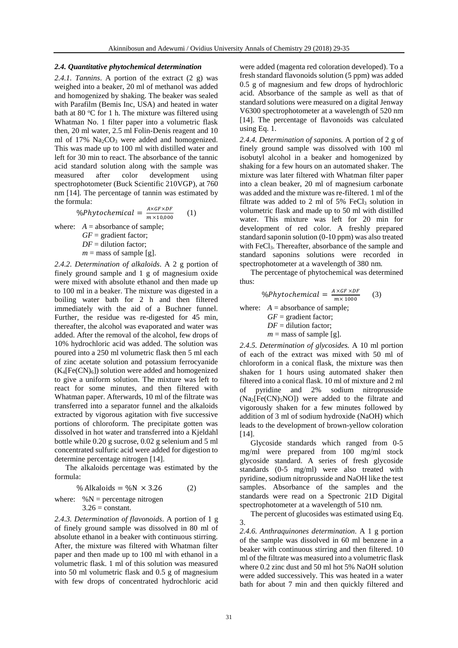#### *2.4. Quantitative phytochemical determination*

*2.4.1. Tannins*. A portion of the extract (2 g) was weighed into a beaker, 20 ml of methanol was added and homogenized by shaking. The beaker was sealed with Parafilm (Bemis Inc, USA) and heated in water bath at 80  $\mathrm{°C}$  for 1 h. The mixture was filtered using Whatman No. 1 filter paper into a volumetric flask then, 20 ml water, 2.5 ml Folin-Denis reagent and 10 ml of  $17\%$  Na<sub>2</sub>CO<sub>3</sub> were added and homogenized. This was made up to 100 ml with distilled water and left for 30 min to react. The absorbance of the tannic acid standard solution along with the sample was measured after color development using spectrophotometer (Buck Scientific 210VGP), at 760 nm [14]. The percentage of tannin was estimated by the formula:

$$
\% Phytochemical = \frac{A \times GF \times DF}{m \times 10,000}
$$
 (1)  
where: A = absorbance of sample;  
GF = gradient factor;  
DF = dilution factor;  
 $m =$  mass of sample [g].

*2.4.2. Determination of alkaloids*. A 2 g portion of finely ground sample and 1 g of magnesium oxide were mixed with absolute ethanol and then made up to 100 ml in a beaker. The mixture was digested in a boiling water bath for 2 h and then filtered immediately with the aid of a Buchner funnel. Further, the residue was re-digested for 45 min, thereafter, the alcohol was evaporated and water was added. After the removal of the alcohol, few drops of 10% hydrochloric acid was added. The solution was poured into a 250 ml volumetric flask then 5 ml each of zinc acetate solution and potassium ferrocyanide  $(K_4[Fe(CN)_6])$  solution were added and homogenized to give a uniform solution. The mixture was left to react for some minutes, and then filtered with Whatman paper. Afterwards, 10 ml of the filtrate was transferred into a separator funnel and the alkaloids extracted by vigorous agitation with five successive portions of chloroform. The precipitate gotten was dissolved in hot water and transferred into a Kjeldahl bottle while 0.20 g sucrose, 0.02 g selenium and 5 ml concentrated sulfuric acid were added for digestion to determine percentage nitrogen [14].

The alkaloids percentage was estimated by the formula:

$$
\% \text{ Alkaloids} = \%N \times 3.26 \qquad (2)
$$
\n
$$
\text{where: } \%N = \text{percentage nitrogen}
$$
\n
$$
3.26 = \text{constant.}
$$

*2.4.3. Determination of flavonoids*. A portion of 1 g of finely ground sample was dissolved in 80 ml of absolute ethanol in a beaker with continuous stirring. After, the mixture was filtered with Whatman filter paper and then made up to 100 ml with ethanol in a volumetric flask. 1 ml of this solution was measured into 50 ml volumetric flask and 0.5 g of magnesium with few drops of concentrated hydrochloric acid were added (magenta red coloration developed). To a fresh standard flavonoids solution (5 ppm) was added 0.5 g of magnesium and few drops of hydrochloric acid. Absorbance of the sample as well as that of standard solutions were measured on a digital Jenway V6300 spectrophotometer at a wavelength of 520 nm [14]. The percentage of flavonoids was calculated using Eq. 1.

*2.4.4. Determination of saponins.* A portion of 2 g of finely ground sample was dissolved with 100 ml isobutyl alcohol in a beaker and homogenized by shaking for a few hours on an automated shaker. The mixture was later filtered with Whatman filter paper into a clean beaker, 20 ml of magnesium carbonate was added and the mixture was re-filtered. 1 ml of the filtrate was added to 2 ml of  $5\%$  FeCl<sub>3</sub> solution in volumetric flask and made up to 50 ml with distilled water. This mixture was left for 20 min for development of red color. A freshly prepared standard saponin solution (0-10 ppm) was also treated with FeCl<sub>3</sub>. Thereafter, absorbance of the sample and standard saponins solutions were recorded in spectrophotometer at a wavelength of 380 nm.

The percentage of phytochemical was determined thus:

$$
\%Phy to chemical = \frac{A \times GF \times DF}{m \times 1000} \tag{3}
$$

where:  $A =$  absorbance of sample; *GF* = gradient factor; *DF* = dilution factor;  $m =$  mass of sample [g].

*2.4.5. Determination of glycosides.* A 10 ml portion of each of the extract was mixed with 50 ml of chloroform in a conical flask, the mixture was then shaken for 1 hours using automated shaker then filtered into a conical flask. 10 ml of mixture and 2 ml of pyridine and 2% sodium nitroprusside  $(Na<sub>2</sub>[Fe(CN)<sub>5</sub>NO])$  were added to the filtrate and vigorously shaken for a few minutes followed by addition of 3 ml of sodium hydroxide (NaOH) which leads to the development of brown-yellow coloration [14].

Glycoside standards which ranged from 0-5 mg/ml were prepared from 100 mg/ml stock glycoside standard. A series of fresh glycoside standards (0-5 mg/ml) were also treated with pyridine, sodium nitroprusside and NaOH like the test samples. Absorbance of the samples and the standards were read on a Spectronic 21D Digital spectrophotometer at a wavelength of 510 nm.

The percent of glucosides was estimated using Eq.

*2.4.6. Anthraquinones determination.* A 1 g portion of the sample was dissolved in 60 ml benzene in a beaker with continuous stirring and then filtered. 10 ml of the filtrate was measured into a volumetric flask where 0.2 zinc dust and 50 ml hot 5% NaOH solution were added successively. This was heated in a water bath for about 7 min and then quickly filtered and

3.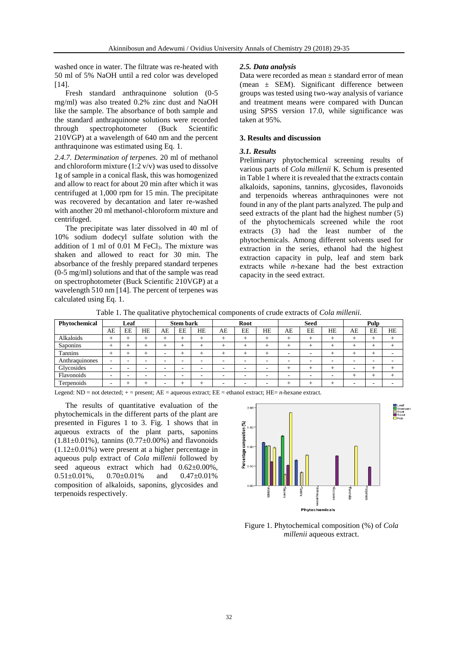washed once in water. The filtrate was re-heated with 50 ml of 5% NaOH until a red color was developed [14].

Fresh standard anthraquinone solution (0-5 mg/ml) was also treated 0.2% zinc dust and NaOH like the sample. The absorbance of both sample and the standard anthraquinone solutions were recorded through spectrophotometer (Buck Scientific 210VGP) at a wavelength of 640 nm and the percent anthraquinone was estimated using Eq. 1.

*2.4.7. Determination of terpenes.* 20 ml of methanol and chloroform mixture  $(1:2 \text{ v/v})$  was used to dissolve 1g of sample in a conical flask, this was homogenized and allow to react for about 20 min after which it was centrifuged at 1,000 rpm for 15 min. The precipitate was recovered by decantation and later re-washed with another 20 ml methanol-chloroform mixture and centrifuged.

The precipitate was later dissolved in 40 ml of 10% sodium dodecyl sulfate solution with the addition of 1 ml of  $0.01$  M FeCl<sub>3</sub>. The mixture was shaken and allowed to react for 30 min. The absorbance of the freshly prepared standard terpenes (0-5 mg/ml) solutions and that of the sample was read on spectrophotometer (Buck Scientific 210VGP) at a wavelength 510 nm [14]. The percent of terpenes was calculated using Eq. 1.

#### *2.5. Data analysis*

Data were recorded as mean ± standard error of mean (mean ± SEM). Significant difference between groups was tested using two-way analysis of variance and treatment means were compared with Duncan using SPSS version 17.0, while significance was taken at 95%.

## **3. Results and discussion**

#### *3.1. Results*

Preliminary phytochemical screening results of various parts of *Cola millenii* K. Schum is presented in Table 1 where it is revealed that the extracts contain alkaloids, saponins, tannins, glycosides, flavonoids and terpenoids whereas anthraquinones were not found in any of the plant parts analyzed. The pulp and seed extracts of the plant had the highest number (5) of the phytochemicals screened while the root extracts (3) had the least number of the phytochemicals. Among different solvents used for extraction in the series, ethanol had the highest extraction capacity in pulp, leaf and stem bark extracts while *n*-hexane had the best extraction capacity in the seed extract.

| Table 1. The qualitative phytochemical components of crude extracts of <i>Cola millenii</i> . |  |  |  |  |  |  |  |  |
|-----------------------------------------------------------------------------------------------|--|--|--|--|--|--|--|--|
|-----------------------------------------------------------------------------------------------|--|--|--|--|--|--|--|--|

| Phytochemical  | Leaf |    | <b>Stem bark</b> |                          | Root |                          | <b>Seed</b> |        |    | Pulp |    |    |      |                 |           |
|----------------|------|----|------------------|--------------------------|------|--------------------------|-------------|--------|----|------|----|----|------|-----------------|-----------|
|                | AE   | EE | <b>HE</b>        | AE                       | EE   | <b>HE</b>                | AE          | EE     | HE | AE   | EE | HE | AE   | EE              | <b>HE</b> |
| Alkaloids      | $^+$ |    | $\div$           |                          | ∸    | $\pm$                    | $^+$        | $\pm$  | ÷  | $^+$ | +  |    | $^+$ | $^+$            | $^+$      |
| Saponins       | $^+$ |    | $^+$             |                          |      |                          | $^+$        | $^{+}$ |    | $^+$ | +  |    | $^+$ | $^+$            | $^+$      |
| <b>Tannins</b> | ┶    |    | ÷                | $\overline{\phantom{a}}$ |      |                          | $^+$        | $\pm$  | ÷  | -    |    |    | $^+$ | $\pm$           |           |
| Anthraquinones |      | -  | ۰                | -                        | -    | -                        | -           |        | -  | -    | -  | -  |      |                 | -         |
| Glycosides     |      |    | -                | $\overline{\phantom{a}}$ | -    | -                        |             | -      | -  | -    |    |    |      | ┵               | $\pm$     |
| Flavonoids     |      |    | -                | -                        | -    | $\overline{\phantom{a}}$ | -           | -      | -  | -    |    |    | $^+$ | $^{\mathrm{+}}$ | $\pm$     |
| Terpenoids     |      |    | ÷                |                          |      |                          |             |        | ۰  | -    | -  |    |      | -               | -         |

Legend: ND = not detected; + = present; AE = aqueous extract; EE = ethanol extract; HE= *n*-hexane extract.

The results of quantitative evaluation of the phytochemicals in the different parts of the plant are presented in Figures 1 to 3. Fig. 1 shows that in aqueous extracts of the plant parts, saponins  $(1.81 \pm 0.01\%)$ , tannins  $(0.77 \pm 0.00\%)$  and flavonoids (1.12±0.01%) were present at a higher percentage in aqueous pulp extract of *Cola millenii* followed by seed aqueous extract which had  $0.62 \pm 0.00\%$ ,<br> $0.51 \pm 0.01\%$ ,  $0.70 \pm 0.01\%$  and  $0.47 \pm 0.01\%$ 0.70±0.01% and 0.47±0.01% composition of alkaloids, saponins, glycosides and terpenoids respectively.



Figure 1. Phytochemical composition (%) of *Cola millenii* aqueous extract.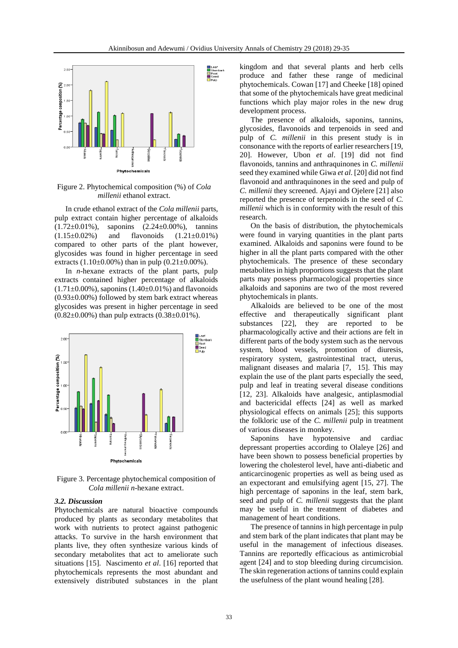

Figure 2. Phytochemical composition (%) of *Cola millenii* ethanol extract.

In crude ethanol extract of the *Cola millenii* parts, pulp extract contain higher percentage of alkaloids  $(1.72\pm0.01\%)$ , saponins  $(2.24\pm0.00\%)$ , tannins  $(1.15\pm0.02\%)$  and flavonoids  $(1.21\pm0.01\%)$ compared to other parts of the plant however, glycosides was found in higher percentage in seed extracts  $(1.10\pm0.00\%)$  than in pulp  $(0.21\pm0.00\%)$ .

In *n*-hexane extracts of the plant parts, pulp extracts contained higher percentage of alkaloids  $(1.71\pm0.00\%)$ , saponins  $(1.40\pm0.01\%)$  and flavonoids  $(0.93\pm0.00\%)$  followed by stem bark extract whereas glycosides was present in higher percentage in seed (0.82±0.00%) than pulp extracts (0.38±0.01%).



Figure 3. Percentage phytochemical composition of *Cola millenii n*-hexane extract.

#### *3.2. Discussion*

Phytochemicals are natural bioactive compounds produced by plants as secondary metabolites that work with nutrients to protect against pathogenic attacks. To survive in the harsh environment that plants live, they often synthesize various kinds of secondary metabolites that act to ameliorate such situations [15]. Nascimento *et al*. [16] reported that phytochemicals represents the most abundant and extensively distributed substances in the plant kingdom and that several plants and herb cells produce and father these range of medicinal phytochemicals. Cowan [17] and Cheeke [18] opined that some of the phytochemicals have great medicinal functions which play major roles in the new drug development process.

The presence of alkaloids, saponins, tannins, glycosides, flavonoids and terpenoids in seed and pulp of *C. millenii* in this present study is in consonance with the reports of earlier researchers [19, 20]. However, Ubon *et al*. [19] did not find flavonoids, tannins and anthraquinones in *C. millenii*  seed they examined while Giwa *et al*. [20] did not find flavonoid and anthraquinones in the seed and pulp of *C. millenii* they screened. Ajayi and Ojelere [21] also reported the presence of terpenoids in the seed of *C. millenii* which is in conformity with the result of this research.

On the basis of distribution, the phytochemicals were found in varying quantities in the plant parts examined. Alkaloids and saponins were found to be higher in all the plant parts compared with the other phytochemicals. The presence of these secondary metabolites in high proportions suggests that the plant parts may possess pharmacological properties since alkaloids and saponins are two of the most revered phytochemicals in plants.

Alkaloids are believed to be one of the most effective and therapeutically significant plant substances [22], they are reported to be pharmacologically active and their actions are felt in different parts of the body system such as the nervous system, blood vessels, promotion of diuresis, respiratory system, gastrointestinal tract, uterus, malignant diseases and malaria [7, 15]. This may explain the use of the plant parts especially the seed, pulp and leaf in treating several disease conditions [12, 23]. Alkaloids have analgesic, antiplasmodial and bactericidal effects [24] as well as marked physiological effects on animals [25]; this supports the folkloric use of the *C. millenii* pulp in treatment of various diseases in monkey.

Saponins have hypotensive and cardiac depressant properties according to Olaleye [26] and have been shown to possess beneficial properties by lowering the cholesterol level, have anti-diabetic and anticarcinogenic properties as well as being used as an expectorant and emulsifying agent [15, 27]. The high percentage of saponins in the leaf, stem bark, seed and pulp of *C. millenii* suggests that the plant may be useful in the treatment of diabetes and management of heart conditions.

The presence of tannins in high percentage in pulp and stem bark of the plant indicates that plant may be useful in the management of infectious diseases. Tannins are reportedly efficacious as antimicrobial agent [24] and to stop bleeding during circumcision. The skin regeneration actions of tannins could explain the usefulness of the plant wound healing [28].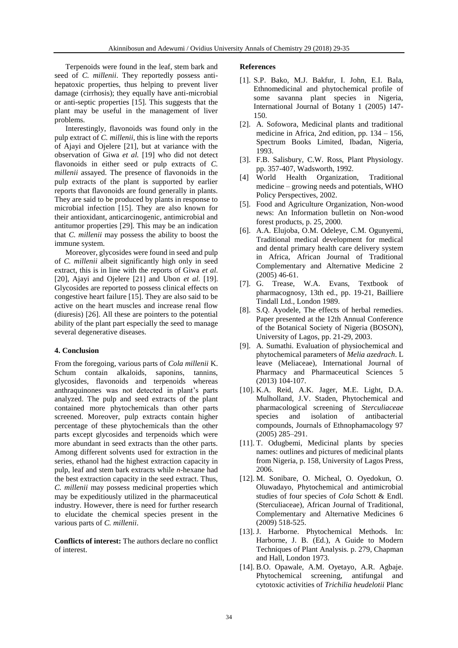Terpenoids were found in the leaf, stem bark and seed of *C. millenii*. They reportedly possess antihepatoxic properties, thus helping to prevent liver damage (cirrhosis); they equally have anti-microbial or anti-septic properties [15]. This suggests that the plant may be useful in the management of liver problems.

Interestingly, flavonoids was found only in the pulp extract of *C. millenii*, this is line with the reports of Ajayi and Ojelere [21], but at variance with the observation of Giwa *et al.* [19] who did not detect flavonoids in either seed or pulp extracts of *C. millenii* assayed. The presence of flavonoids in the pulp extracts of the plant is supported by earlier reports that flavonoids are found generally in plants. They are said to be produced by plants in response to microbial infection [15]. They are also known for their antioxidant, anticarcinogenic, antimicrobial and antitumor properties [29]. This may be an indication that *C. millenii* may possess the ability to boost the immune system.

Moreover, glycosides were found in seed and pulp of *C. millenii* albeit significantly high only in seed extract, this is in line with the reports of Giwa *et al*. [20], Ajayi and Ojelere [21] and Ubon *et al*. [19]. Glycosides are reported to possess clinical effects on congestive heart failure [15]. They are also said to be active on the heart muscles and increase renal flow (diuresis) [26]. All these are pointers to the potential ability of the plant part especially the seed to manage several degenerative diseases.

## **4. Conclusion**

From the foregoing, various parts of *Cola millenii* K. Schum contain alkaloids, saponins, tannins, glycosides, flavonoids and terpenoids whereas anthraquinones was not detected in plant's parts analyzed. The pulp and seed extracts of the plant contained more phytochemicals than other parts screened. Moreover, pulp extracts contain higher percentage of these phytochemicals than the other parts except glycosides and terpenoids which were more abundant in seed extracts than the other parts. Among different solvents used for extraction in the series, ethanol had the highest extraction capacity in pulp, leaf and stem bark extracts while *n*-hexane had the best extraction capacity in the seed extract. Thus, *C. millenii* may possess medicinal properties which may be expeditiously utilized in the pharmaceutical industry. However, there is need for further research to elucidate the chemical species present in the various parts of *C. millenii*.

**Conflicts of interest:** The authors declare no conflict of interest.

#### **References**

- [1]. S.P. Bako, M.J. Bakfur, I. John, E.I. Bala, Ethnomedicinal and phytochemical profile of some savanna plant species in Nigeria, International Journal of Botany 1 (2005) 147- 150.
- [2]. A. Sofowora, Medicinal plants and traditional medicine in Africa, 2nd edition, pp. 134 – 156, Spectrum Books Limited, Ibadan, Nigeria, 1993.
- [3]. F.B. Salisbury, C.W. Ross, Plant Physiology. pp. 357-407, Wadsworth, 1992.
- [4] World Health Organization, Traditional medicine – growing needs and potentials, WHO Policy Perspectives, 2002.
- [5]. Food and Agriculture Organization, Non-wood news: An Information bulletin on Non-wood forest products, p. 25, 2000.
- [6]. A.A. Elujoba, O.M. Odeleye, C.M. Ogunyemi, Traditional medical development for medical and dental primary health care delivery system in Africa, African Journal of Traditional Complementary and Alternative Medicine 2 (2005) 46-61.
- [7]. G. Trease, W.A. Evans, Textbook of pharmacognosy, 13th ed., pp. 19-21, Bailliere Tindall Ltd., London 1989.
- [8]. S.Q. Ayodele, The effects of herbal remedies. Paper presented at the 12th Annual Conference of the Botanical Society of Nigeria (BOSON), University of Lagos, pp. 21-29, 2003.
- [9]. A. Sumathi. Evaluation of physiochemical and phytochemical parameters of *Melia azedrach*. L leave (Meliaceae), International Journal of Pharmacy and Pharmaceutical Sciences 5 (2013) 104-107.
- [10]. K.A. Reid, A.K. Jager, M.E. Light, D.A. Mulholland, J.V. Staden, Phytochemical and pharmacological screening of *Sterculiaceae* species and isolation of antibacterial compounds, Journals of Ethnophamacology 97 (2005) 285–291.
- [11]. T. Odugbemi, Medicinal plants by species names: outlines and pictures of medicinal plants from Nigeria, p. 158, University of Lagos Press, 2006.
- [12]. M. Sonibare, O. Micheal, O. Oyedokun, O. Oluwadayo, Phytochemical and antimicrobial studies of four species of *Cola* Schott & Endl. (Sterculiaceae), African Journal of Traditional, Complementary and Alternative Medicines 6 (2009) 518-525.
- [13]. J. Harborne. Phytochemical Methods. In: Harborne, J. B. (Ed.), A Guide to Modern Techniques of Plant Analysis. p. 279, Chapman and Hall, London 1973.
- [14]. B.O. Opawale, A.M. Oyetayo, A.R. Agbaje. Phytochemical screening, antifungal and cytotoxic activities of *Trichilia heudelotii* Planc